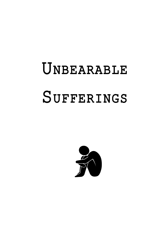# Unbearable **SUFFERINGS**

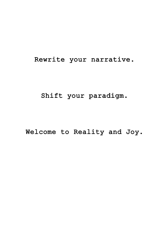#### Rewrite your narrative.

#### Shift your paradigm.

#### Welcome to Reality and Joy.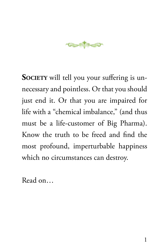

**SOCIETY** will tell you your suffering is unnecessary and pointless. Or that you should just end it. Or that you are impaired for life with a "chemical imbalance," (and thus must be a life-customer of Big Pharma). Know the truth to be freed and find the most profound, imperturbable happiness which no circumstances can destroy.

Read on…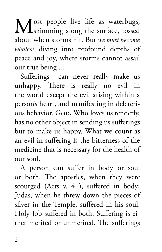Most people live life as waterbugs,<br>
skimming along the surface, tossed about when storms hit. But *we must become whales!* diving into profound depths of peace and joy, where storms cannot assail our true being ...

Sufferings can never really make us unhappy. There is really no evil in the world except the evil arising within a person's heart, and manifesting in deleterious behavior. God, Who loves us tenderly, has no other object in sending us sufferings but to make us happy. What we count as an evil in suffering is the bitterness of the medicine that is necessary for the health of our soul.

A person can suffer in body or soul or both. The apostles, when they were scourged (Acts v. 41), suffered in body; Judas, when he threw down the pieces of silver in the Temple, suffered in his soul. Holy Job suffered in both. Suffering is either merited or unmerited. The sufferings

 $\overline{2}$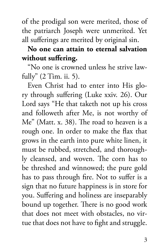of the prodigal son were merited, those of the patriarch Joseph were unmerited. Yet all sufferings are merited by original sin.

**No one can attain to eternal salvation without suffering.**

"No one is crowned unless he strive lawfully" (2 Tim. ii. 5).

Even Christ had to enter into His glory through suffering (Luke xxiv. 26). Our Lord says "He that taketh not up his cross and followeth after Me, is not worthy of Me" (Matt. x. 38). The road to heaven is a rough one. In order to make the flax that grows in the earth into pure white linen, it must be rubbed, stretched, and thoroughly cleansed, and woven. The corn has to be threshed and winnowed; the pure gold has to pass through fire. Not to suffer is a sign that no future happiness is in store for you. Suffering and holiness are inseparably bound up together. There is no good work that does not meet with obstacles, no virtue that does not have to fight and struggle.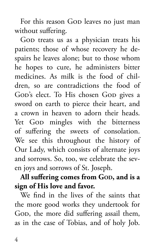For this reason Gop leaves no just man without suffering.

God treats us as a physician treats his patients; those of whose recovery he despairs he leaves alone; but to those whom he hopes to cure, he administers bitter medicines. As milk is the food of children, so are contradictions the food of God's elect. To His chosen God gives a sword on earth to pierce their heart, and a crown in heaven to adorn their heads. Yet God mingles with the bitterness of suffering the sweets of consolation. We see this throughout the history of Our Lady, which consists of alternate joys and sorrows. So, too, we celebrate the seven joys and sorrows of St. Joseph.

### All suffering comes from God, and is a **sign of His love and favor.**

We find in the lives of the saints that the more good works they undertook for God, the more did suffering assail them, as in the case of Tobias, and of holy Job.

4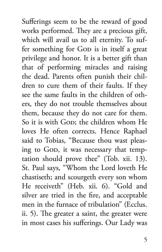Sufferings seem to be the reward of good works performed. They are a precious gift, which will avail us to all eternity. To suffer something for GoD is in itself a great privilege and honor. It is a better gift than that of performing miracles and raising the dead. Parents often punish their children to cure them of their faults. If they see the same faults in the children of others, they do not trouble themselves about them, because they do not care for them. So it is with God; the children whom He loves He often corrects. Hence Raphael said to Tobias, "Because thou wast pleasing to GOD, it was necessary that temptation should prove thee" (Tob. xii. 13). St. Paul says, "Whom the Lord loveth He chastiseth; and scourgeth every son whom He receiveth" (Heb. xii. 6). "Gold and silver are tried in the fire, and acceptable men in the furnace of tribulation" (Ecclus. ii. 5). The greater a saint, the greater were in most cases his sufferings. Our Lady was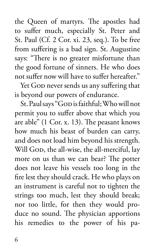the Queen of martyrs. The apostles had to suffer much, especially St. Peter and St. Paul (Cf. 2 Cor. xi. 23, seq.). To be free from suffering is a bad sign. St. Augustine says: "There is no greater misfortune than the good fortune of sinners. He who does not suffer now will have to suffer hereafter."

Yet God never sends us any suffering that is beyond our powers of endurance.

St. Paul says "GOD is faithful; Who will not permit you to suffer above that which you are able" (1 Cor. x. 13). The peasant knows how much his beast of burden can carry, and does not load him beyond his strength. Will God, the all-wise, the all-merciful, lay more on us than we can bear? The potter does not leave his vessels too long in the fire lest they should crack. He who plays on an instrument is careful not to tighten the strings too much, lest they should break; nor too little, for then they would produce no sound. The physician apportions his remedies to the power of his pa-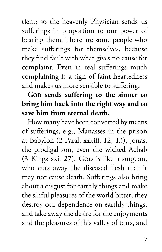tient; so the heavenly Physician sends us sufferings in proportion to our power of bearing them. There are some people who make sufferings for themselves, because they find fault with what gives no cause for complaint. Even in real sufferings much complaining is a sign of faint-heartedness and makes us more sensible to suffering.

# Go**D** sends suffering to the sinner to **bring him back into the right way and to save him from eternal death.**

How many have been converted by means of sufferings, e.g., Manasses in the prison at Babylon (2 Paral. xxxiii. 12, 13), Jonas, the prodigal son, even the wicked Achab  $(3$  Kings xxi. 27). God is like a surgeon, who cuts away the diseased flesh that it may not cause death. Sufferings also bring about a disgust for earthly things and make the sinful pleasures of the world bitter; they destroy our dependence on earthly things, and take away the desire for the enjoyments and the pleasures of this valley of tears, and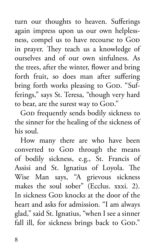turn our thoughts to heaven. Sufferings again impress upon us our own helplessness, compel us to have recourse to GOD in prayer. They teach us a knowledge of ourselves and of our own sinfulness. As the trees, after the winter, flower and bring forth fruit, so does man after suffering bring forth works pleasing to God. "Sufferings," says St. Teresa, "though very hard to bear, are the surest way to God."

God frequently sends bodily sickness to the sinner for the healing of the sickness of his soul.

How many there are who have been converted to GoD through the means of bodily sickness, e.g., St. Francis of Assisi and St. Ignatius of Loyola. The Wise Man says, "A grievous sickness makes the soul sober" (Ecclus. xxxi. 2). In sickness Gop knocks at the door of the heart and asks for admission. "I am always glad," said St. Ignatius, "when I see a sinner fall ill, for sickness brings back to God."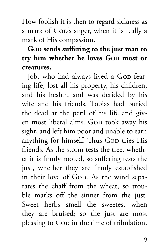How foolish it is then to regard sickness as a mark of GOD's anger, when it is really a mark of His compassion.

# Go<sub>D</sub> sends suffering to the just man to **try him whether he loves GOD most or creatures.**

Job, who had always lived a Gop-fearing life, lost all his property, his children, and his health, and was derided by his wife and his friends. Tobias had buried the dead at the peril of his life and given most liberal alms. God took away his sight, and left him poor and unable to earn anything for himself. Thus Gop tries His friends. As the storm tests the tree, whether it is firmly rooted, so suffering tests the just, whether they are firmly established in their love of God. As the wind separates the chaff from the wheat, so trouble marks off the sinner from the just. Sweet herbs smell the sweetest when they are bruised; so the just are most pleasing to GoD in the time of tribulation.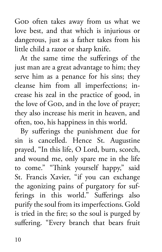God often takes away from us what we love best, and that which is injurious or dangerous, just as a father takes from his little child a razor or sharp knife.

At the same time the sufferings of the just man are a great advantage to him; they serve him as a penance for his sins; they cleanse him from all imperfections; increase his zeal in the practice of good, in the love of GOD, and in the love of prayer; they also increase his merit in heaven, and often, too, his happiness in this world.

By sufferings the punishment due for sin is cancelled. Hence St. Augustine prayed, "In this life, O Lord, burn, scorch, and wound me, only spare me in the life to come." "Think yourself happy," said St. Francis Xavier, "if you can exchange the agonizing pains of purgatory for sufferings in this world." Sufferings also purify the soul from its imperfections. Gold is tried in the fire; so the soul is purged by suffering. "Every branch that bears fruit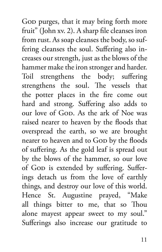God purges, that it may bring forth more fruit" (John xv. 2). A sharp file cleanses iron from rust. As soap cleanses the body, so suffering cleanses the soul. Suffering also increases our strength, just as the blows of the hammer make the iron stronger and harder. Toil strengthens the body; suffering strengthens the soul. The vessels that the potter places in the fire come out hard and strong. Suffering also adds to our love of God. As the ark of Noe was raised nearer to heaven by the floods that overspread the earth, so we are brought nearer to heaven and to Gop by the floods of suffering. As the gold leaf is spread out by the blows of the hammer, so our love of God is extended by suffering. Sufferings detach us from the love of earthly things, and destroy our love of this world. Hence St. Augustine prayed, "Make all things bitter to me, that so Thou alone mayest appear sweet to my soul." Sufferings also increase our gratitude to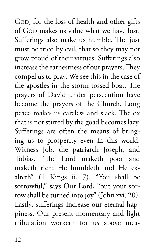God, for the loss of health and other gifts of GOD makes us value what we have lost. Sufferings also make us humble. The just must be tried by evil, that so they may not grow proud of their virtues. Sufferings also increase the earnestness of our prayers. They compel us to pray. We see this in the case of the apostles in the storm-tossed boat. The prayers of David under persecution have become the prayers of the Church. Long peace makes us careless and slack. The ox that is not stirred by the goad becomes lazy. Sufferings are often the means of bringing us to prosperity even in this world. Witness Job, the patriarch Joseph, and Tobias. "The Lord maketh poor and maketh rich; He humbleth and He exalteth" (1 Kings ii. 7). "You shall be sorrowful," says Our Lord, "but your sorrow shall be turned into joy" (John xvi. 20). Lastly, sufferings increase our eternal happiness. Our present momentary and light tribulation worketh for us above mea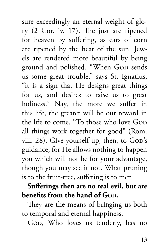sure exceedingly an eternal weight of glory (2 Cor. iv. 17). The just are ripened for heaven by suffering, as ears of corn are ripened by the heat of the sun. Jewels are rendered more beautiful by being ground and polished. "When Gop sends us some great trouble," says St. Ignatius, "it is a sign that He designs great things for us, and desires to raise us to great holiness." Nay, the more we suffer in this life, the greater will be our reward in the life to come. "To those who love GoD all things work together for good" (Rom. viii. 28). Give yourself up, then, to GoD's guidance, for He allows nothing to happen you which will not be for your advantage, though you may see it not. What pruning is to the fruit-tree, suffering is to men.

## **Sufferings then are no real evil, but are benefits from the hand of Gon.**

They are the means of bringing us both to temporal and eternal happiness.

GOD, Who loves us tenderly, has no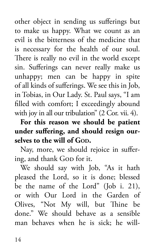other object in sending us sufferings but to make us happy. What we count as an evil is the bitterness of the medicine that is necessary for the health of our soul. There is really no evil in the world except sin. Sufferings can never really make us unhappy; men can be happy in spite of all kinds of sufferings. We see this in Job, in Tobias, in Our Lady. St. Paul says, "I am filled with comfort; I exceedingly abound with joy in all our tribulation" (2 Cor. vii. 4).

**For this reason we should be patient under suffering, and should resign ourselves to the will of God.**

Nay, more, we should rejoice in suffering, and thank GoD for it.

We should say with Job, "As it hath pleased the Lord, so it is done; blessed be the name of the Lord" (Job i. 21), or with Our Lord in the Garden of Olives, "Not My will, but Thine be done." We should behave as a sensible man behaves when he is sick; he will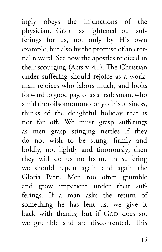ingly obeys the injunctions of the physician. Gop has lightened our sufferings for us, not only by His own example, but also by the promise of an eternal reward. See how the apostles rejoiced in their scourging (Acts v. 41). The Christian under suffering should rejoice as a workman rejoices who labors much, and looks forward to good pay, or as a tradesman, who amid the toilsome monotony of his business, thinks of the delightful holiday that is not far off. We must grasp sufferings as men grasp stinging nettles if they do not wish to be stung, firmly and boldly, not lightly and timorously; then they will do us no harm. In suffering we should repeat again and again the Gloria Patri. Men too often grumble and grow impatient under their sufferings. If a man asks the return of something he has lent us, we give it back with thanks; but if Gop does so, we grumble and are discontented. This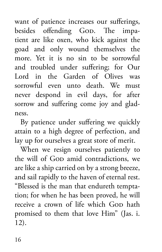want of patience increases our sufferings, besides offending God. The impatient are like oxen, who kick against the goad and only wound themselves the more. Yet it is no sin to be sorrowful and troubled under suffering; for Our Lord in the Garden of Olives was sorrowful even unto death. We must never despond in evil days, for after sorrow and suffering come joy and gladness.

By patience under suffering we quickly attain to a high degree of perfection, and lay up for ourselves a great store of merit.

When we resign ourselves patiently to the will of God amid contradictions, we are like a ship carried on by a strong breeze, and sail rapidly to the haven of eternal rest. "Blessed is the man that endureth temptation; for when he has been proved, he will receive a crown of life which Gop hath promised to them that love Him" (Jas. i. 12).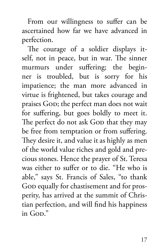From our willingness to suffer can be ascertained how far we have advanced in perfection.

The courage of a soldier displays itself, not in peace, but in war. The sinner murmurs under suffering; the beginner is troubled, but is sorry for his impatience; the man more advanced in virtue is frightened, but takes courage and praises God; the perfect man does not wait for suffering, but goes boldly to meet it. The perfect do not ask GoD that they may be free from temptation or from suffering. They desire it, and value it as highly as men of the world value riches and gold and precious stones. Hence the prayer of St. Teresa was either to suffer or to die. "He who is able," says St. Francis of Sales, "to thank God equally for chastisement and for prosperity, has arrived at the summit of Christian perfection, and will find his happiness in  $G$ op."